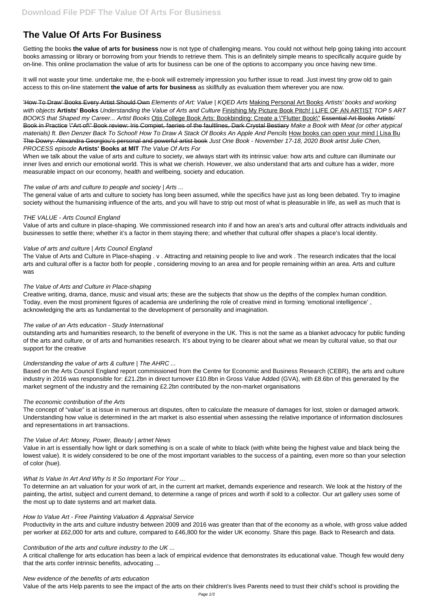# **The Value Of Arts For Business**

Getting the books **the value of arts for business** now is not type of challenging means. You could not without help going taking into account books amassing or library or borrowing from your friends to retrieve them. This is an definitely simple means to specifically acquire guide by on-line. This online proclamation the value of arts for business can be one of the options to accompany you once having new time.

It will not waste your time. undertake me, the e-book will extremely impression you further issue to read. Just invest tiny grow old to gain access to this on-line statement **the value of arts for business** as skillfully as evaluation them wherever you are now.

'How To Draw' Books Every Artist Should Own Elements of Art: Value | KQED Arts Making Personal Art Books Artists' books and working with objects **Artists' Books** Understanding the Value of Arts and Culture Finishing My Picture Book Pitch! | LIFE OF AN ARTIST TOP 5 ART BOOKS that Shaped my Career... Artist Books Otis College Book Arts: Bookbinding: Create a \"Flutter Book\" Essential Art Books Artists' Book in Practice \"Art of\" Book review: Iris Compiet, faeries of the faultlines, Dark Crystal Bestiary Make a Book with Meat (or other atypical materials) ft. Ben Denzer Back To School! How To Draw A Stack Of Books An Apple And Pencils How books can open your mind | Lisa Bu The Dowry: Alexandra Georgiou's personal and powerful artist book Just One Book - November 17-18, 2020 Book artist Julie Chen, PROCESS episode **Artists' Books at MIT** The Value Of Arts For

When we talk about the value of arts and culture to society, we always start with its intrinsic value: how arts and culture can illuminate our inner lives and enrich our emotional world. This is what we cherish. However, we also understand that arts and culture has a wider, more measurable impact on our economy, health and wellbeing, society and education.

# The value of arts and culture to people and society | Arts ...

The general value of arts and culture to society has long been assumed, while the specifics have just as long been debated. Try to imagine society without the humanising influence of the arts, and you will have to strip out most of what is pleasurable in life, as well as much that is

# THE VALUE - Arts Council England

Value of arts and culture in place-shaping. We commissioned research into if and how an area's arts and cultural offer attracts individuals and businesses to settle there; whether it's a factor in them staying there; and whether that cultural offer shapes a place's local identity.

#### Value of arts and culture | Arts Council England

The Value of Arts and Culture in Place-shaping . v . Attracting and retaining people to live and work . The research indicates that the local arts and cultural offer is a factor both for people , considering moving to an area and for people remaining within an area. Arts and culture was

#### The Value of Arts and Culture in Place-shaping

Creative writing, drama, dance, music and visual arts; these are the subjects that show us the depths of the complex human condition. Today, even the most prominent figures of academia are underlining the role of creative mind in forming 'emotional intelligence' , acknowledging the arts as fundamental to the development of personality and imagination.

#### The value of an Arts education - Study International

outstanding arts and humanities research, to the benefit of everyone in the UK. This is not the same as a blanket advocacy for public funding of the arts and culture, or of arts and humanities research. It's about trying to be clearer about what we mean by cultural value, so that our support for the creative

# Understanding the value of arts & culture | The AHRC ...

Based on the Arts Council England report commissioned from the Centre for Economic and Business Research (CEBR), the arts and culture industry in 2016 was responsible for: £21.2bn in direct turnover £10.8bn in Gross Value Added (GVA), with £8.6bn of this generated by the market segment of the industry and the remaining £2.2bn contributed by the non-market organisations

#### The economic contribution of the Arts

The concept of "value" is at issue in numerous art disputes, often to calculate the measure of damages for lost, stolen or damaged artwork. Understanding how value is determined in the art market is also essential when assessing the relative importance of information disclosures and representations in art transactions.

# The Value of Art: Money, Power, Beauty | artnet News

Value in art is essentially how light or dark something is on a scale of white to black (with white being the highest value and black being the lowest value). It is widely considered to be one of the most important variables to the success of a painting, even more so than your selection

of color (hue).

What Is Value In Art And Why Is It So Important For Your ...

To determine an art valuation for your work of art, in the current art market, demands experience and research. We look at the history of the painting, the artist, subject and current demand, to determine a range of prices and worth if sold to a collector. Our art gallery uses some of the most up to date systems and art market data.

How to Value Art - Free Painting Valuation & Appraisal Service

Productivity in the arts and culture industry between 2009 and 2016 was greater than that of the economy as a whole, with gross value added per worker at £62,000 for arts and culture, compared to £46,800 for the wider UK economy. Share this page. Back to Research and data.

Contribution of the arts and culture industry to the UK ...

A critical challenge for arts education has been a lack of empirical evidence that demonstrates its educational value. Though few would deny that the arts confer intrinsic benefits, advocating ...

New evidence of the benefits of arts education

Value of the arts Help parents to see the impact of the arts on their children's lives Parents need to trust their child's school is providing the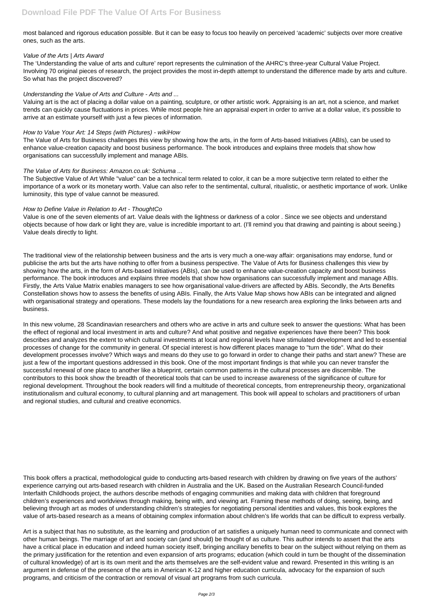most balanced and rigorous education possible. But it can be easy to focus too heavily on perceived 'academic' subjects over more creative ones, such as the arts.

#### Value of the Arts | Arts Award

Valuing art is the act of placing a dollar value on a painting, sculpture, or other artistic work. Appraising is an art, not a science, and market trends can quickly cause fluctuations in prices. While most people hire an appraisal expert in order to arrive at a dollar value, it's possible to arrive at an estimate vourself with just a few pieces of information.

The 'Understanding the value of arts and culture' report represents the culmination of the AHRC's three-year Cultural Value Project. Involving 70 original pieces of research, the project provides the most in-depth attempt to understand the difference made by arts and culture. So what has the project discovered?

# Understanding the Value of Arts and Culture - Arts and ...

# How to Value Your Art: 14 Steps (with Pictures) - wikiHow

The Value of Arts for Business challenges this view by showing how the arts, in the form of Arts-based Initiatives (ABIs), can be used to enhance value-creation capacity and boost business performance. The book introduces and explains three models that show how organisations can successfully implement and manage ABIs.

# The Value of Arts for Business: Amazon.co.uk: Schiuma ...

The Subjective Value of Art While "value" can be a technical term related to color, it can be a more subjective term related to either the importance of a work or its monetary worth. Value can also refer to the sentimental, cultural, ritualistic, or aesthetic importance of work. Unlike luminosity, this type of value cannot be measured.

# How to Define Value in Relation to Art - ThoughtCo

Value is one of the seven elements of art. Value deals with the lightness or darkness of a color . Since we see objects and understand objects because of how dark or light they are, value is incredible important to art. (I'll remind you that drawing and painting is about seeing.) Value deals directly to light.

The traditional view of the relationship between business and the arts is very much a one-way affair: organisations may endorse, fund or publicise the arts but the arts have nothing to offer from a business perspective. The Value of Arts for Business challenges this view by showing how the arts, in the form of Arts-based Initiatives (ABIs), can be used to enhance value-creation capacity and boost business performance. The book introduces and explains three models that show how organisations can successfully implement and manage ABIs. Firstly, the Arts Value Matrix enables managers to see how organisational value-drivers are affected by ABIs. Secondly, the Arts Benefits Constellation shows how to assess the benefits of using ABIs. Finally, the Arts Value Map shows how ABIs can be integrated and aligned with organisational strategy and operations. These models lay the foundations for a new research area exploring the links between arts and business.

In this new volume, 28 Scandinavian researchers and others who are active in arts and culture seek to answer the questions: What has been the effect of regional and local investment in arts and culture? And what positive and negative experiences have there been? This book describes and analyzes the extent to which cultural investments at local and regional levels have stimulated development and led to essential processes of change for the community in general. Of special interest is how different places manage to "turn the tide". What do their development processes involve? Which ways and means do they use to go forward in order to change their paths and start anew? These are just a few of the important questions addressed in this book. One of the most important findings is that while you can never transfer the successful renewal of one place to another like a blueprint, certain common patterns in the cultural processes are discernible. The contributors to this book show the breadth of theoretical tools that can be used to increase awareness of the significance of culture for regional development. Throughout the book readers will find a multitude of theoretical concepts, from entrepreneurship theory, organizational institutionalism and cultural economy, to cultural planning and art management. This book will appeal to scholars and practitioners of urban and regional studies, and cultural and creative economics.

This book offers a practical, methodological guide to conducting arts-based research with children by drawing on five years of the authors' experience carrying out arts-based research with children in Australia and the UK. Based on the Australian Research Council-funded Interfaith Childhoods project, the authors describe methods of engaging communities and making data with children that foreground children's experiences and worldviews through making, being with, and viewing art. Framing these methods of doing, seeing, being, and believing through art as modes of understanding children's strategies for negotiating personal identities and values, this book explores the value of arts-based research as a means of obtaining complex information about children's life worlds that can be difficult to express verbally.

Art is a subject that has no substitute, as the learning and production of art satisfies a uniquely human need to communicate and connect with other human beings. The marriage of art and society can (and should) be thought of as culture. This author intends to assert that the arts have a critical place in education and indeed human society itself, bringing ancillary benefits to bear on the subject without relying on them as the primary justification for the retention and even expansion of arts programs; education (which could in turn be thought of the dissemination of cultural knowledge) of art is its own merit and the arts themselves are the self-evident value and reward. Presented in this writing is an argument in defense of the presence of the arts in American K-12 and higher education curricula, advocacy for the expansion of such programs, and criticism of the contraction or removal of visual art programs from such curricula.